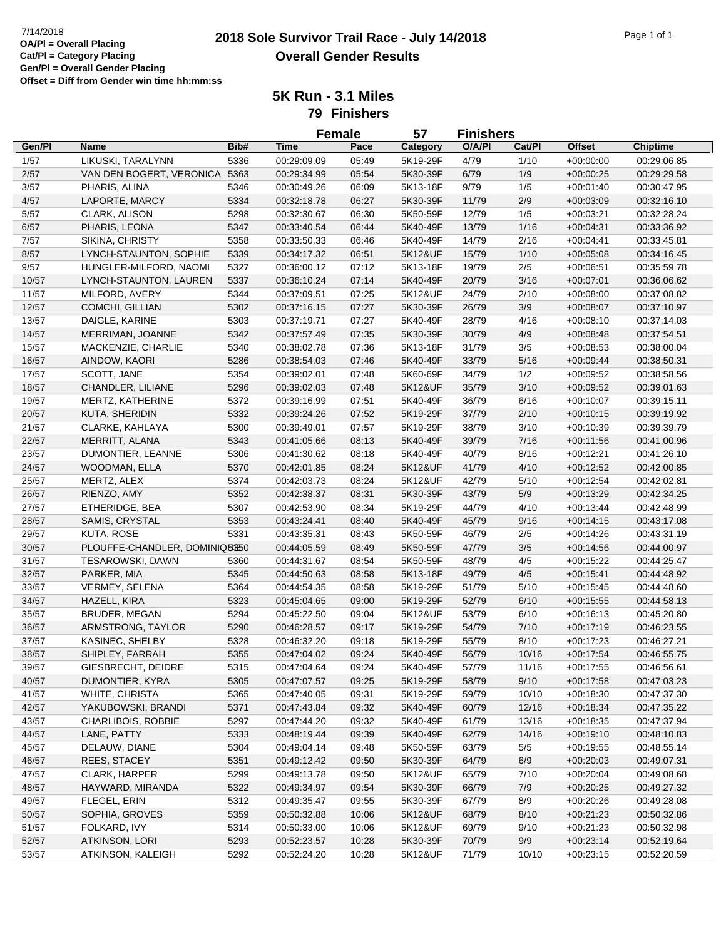## **2018 Sole Survivor Trail Race - July 14/2018** 7/14/2018 Page 1 of 1 **Overall Gender Results**

**5K Run - 3.1 Miles**

**79 Finishers**

|        |                                  |      | <b>Female</b> |       | 57              | <b>Finishers</b> |        |               |                 |
|--------|----------------------------------|------|---------------|-------|-----------------|------------------|--------|---------------|-----------------|
| Gen/Pl | Name                             | Bib# | <b>Time</b>   | Pace  | <b>Category</b> | O/A/PI           | Cat/Pl | <b>Offset</b> | <b>Chiptime</b> |
| 1/57   | LIKUSKI, TARALYNN                | 5336 | 00:29:09.09   | 05:49 | 5K19-29F        | 4/79             | 1/10   | $+00:00:00$   | 00:29:06.85     |
| 2/57   | VAN DEN BOGERT, VERONICA         | 5363 | 00:29:34.99   | 05:54 | 5K30-39F        | 6/79             | 1/9    | $+00:00:25$   | 00:29:29.58     |
| 3/57   | PHARIS, ALINA                    | 5346 | 00:30:49.26   | 06:09 | 5K13-18F        | 9/79             | 1/5    | $+00:01:40$   | 00:30:47.95     |
| 4/57   | LAPORTE, MARCY                   | 5334 | 00:32:18.78   | 06:27 | 5K30-39F        | 11/79            | 2/9    | $+00:03:09$   | 00:32:16.10     |
| 5/57   | CLARK, ALISON                    | 5298 | 00:32:30.67   | 06:30 | 5K50-59F        | 12/79            | 1/5    | $+00:03:21$   | 00:32:28.24     |
| 6/57   | PHARIS, LEONA                    | 5347 | 00:33:40.54   | 06:44 | 5K40-49F        | 13/79            | 1/16   | $+00:04:31$   | 00:33:36.92     |
| 7/57   | SIKINA, CHRISTY                  | 5358 | 00:33:50.33   | 06:46 | 5K40-49F        | 14/79            | 2/16   | $+00:04:41$   | 00:33:45.81     |
| 8/57   | LYNCH-STAUNTON, SOPHIE           | 5339 | 00:34:17.32   | 06:51 | 5K12&UF         | 15/79            | 1/10   | $+00:05:08$   | 00:34:16.45     |
| 9/57   | HUNGLER-MILFORD, NAOMI           | 5327 | 00:36:00.12   | 07:12 | 5K13-18F        | 19/79            | 2/5    | $+00:06:51$   | 00:35:59.78     |
| 10/57  | LYNCH-STAUNTON, LAUREN           | 5337 | 00:36:10.24   | 07:14 | 5K40-49F        | 20/79            | 3/16   | $+00:07:01$   | 00:36:06.62     |
| 11/57  | MILFORD, AVERY                   | 5344 | 00:37:09.51   | 07:25 | 5K12&UF         | 24/79            | 2/10   | $+00:08:00$   | 00:37:08.82     |
| 12/57  | COMCHI, GILLIAN                  | 5302 | 00:37:16.15   | 07:27 | 5K30-39F        | 26/79            | $3/9$  | $+00:08:07$   | 00:37:10.97     |
| 13/57  | DAIGLE, KARINE                   | 5303 | 00:37:19.71   | 07:27 | 5K40-49F        | 28/79            | 4/16   | $+00:08:10$   | 00:37:14.03     |
| 14/57  | MERRIMAN, JOANNE                 | 5342 | 00:37:57.49   | 07:35 | 5K30-39F        | 30/79            | 4/9    | $+00:08:48$   | 00:37:54.51     |
| 15/57  | MACKENZIE, CHARLIE               | 5340 | 00:38:02.78   | 07:36 | 5K13-18F        | 31/79            | 3/5    | $+00:08:53$   | 00:38:00.04     |
| 16/57  | AINDOW, KAORI                    | 5286 | 00:38:54.03   | 07:46 | 5K40-49F        | 33/79            | 5/16   | $+00:09:44$   | 00:38:50.31     |
| 17/57  | SCOTT, JANE                      | 5354 | 00:39:02.01   | 07:48 | 5K60-69F        | 34/79            | 1/2    | $+00:09:52$   | 00:38:58.56     |
|        | CHANDLER, LILIANE                |      |               |       | 5K12&UF         |                  |        |               |                 |
| 18/57  |                                  | 5296 | 00:39:02.03   | 07:48 |                 | 35/79            | 3/10   | $+00:09:52$   | 00:39:01.63     |
| 19/57  | MERTZ, KATHERINE                 | 5372 | 00:39:16.99   | 07:51 | 5K40-49F        | 36/79            | 6/16   | $+00:10:07$   | 00:39:15.11     |
| 20/57  | <b>KUTA, SHERIDIN</b>            | 5332 | 00:39:24.26   | 07:52 | 5K19-29F        | 37/79            | 2/10   | $+00:10:15$   | 00:39:19.92     |
| 21/57  | CLARKE, KAHLAYA                  | 5300 | 00:39:49.01   | 07:57 | 5K19-29F        | 38/79            | 3/10   | $+00:10:39$   | 00:39:39.79     |
| 22/57  | MERRITT, ALANA                   | 5343 | 00:41:05.66   | 08:13 | 5K40-49F        | 39/79            | 7/16   | $+00:11:56$   | 00:41:00.96     |
| 23/57  | DUMONTIER, LEANNE                | 5306 | 00:41:30.62   | 08:18 | 5K40-49F        | 40/79            | 8/16   | $+00:12:21$   | 00:41:26.10     |
| 24/57  | WOODMAN, ELLA                    | 5370 | 00:42:01.85   | 08:24 | 5K12&UF         | 41/79            | 4/10   | $+00:12:52$   | 00:42:00.85     |
| 25/57  | MERTZ, ALEX                      | 5374 | 00:42:03.73   | 08:24 | 5K12&UF         | 42/79            | 5/10   | $+00:12:54$   | 00:42:02.81     |
| 26/57  | RIENZO, AMY                      | 5352 | 00:42:38.37   | 08:31 | 5K30-39F        | 43/79            | $5/9$  | $+00:13:29$   | 00:42:34.25     |
| 27/57  | ETHERIDGE, BEA                   | 5307 | 00:42:53.90   | 08:34 | 5K19-29F        | 44/79            | 4/10   | $+00:13:44$   | 00:42:48.99     |
| 28/57  | SAMIS, CRYSTAL                   | 5353 | 00:43:24.41   | 08:40 | 5K40-49F        | 45/79            | 9/16   | $+00:14:15$   | 00:43:17.08     |
| 29/57  | KUTA, ROSE                       | 5331 | 00:43:35.31   | 08:43 | 5K50-59F        | 46/79            | $2/5$  | $+00:14:26$   | 00:43:31.19     |
| 30/57  | PLOUFFE-CHANDLER, DOMINIQUE50    |      | 00:44:05.59   | 08:49 | 5K50-59F        | 47/79            | 3/5    | $+00:14:56$   | 00:44:00.97     |
| 31/57  | <b>TESAROWSKI, DAWN</b>          | 5360 | 00:44:31.67   | 08:54 | 5K50-59F        | 48/79            | 4/5    | $+00:15:22$   | 00:44:25.47     |
| 32/57  | PARKER, MIA                      | 5345 | 00:44:50.63   | 08:58 | 5K13-18F        | 49/79            | 4/5    | $+00:15:41$   | 00:44:48.92     |
| 33/57  | <b>VERMEY, SELENA</b>            | 5364 | 00:44:54.35   | 08:58 | 5K19-29F        | 51/79            | 5/10   | $+00:15:45$   | 00:44:48.60     |
| 34/57  | HAZELL, KIRA                     | 5323 | 00:45:04.65   | 09:00 | 5K19-29F        | 52/79            | 6/10   | $+00:15:55$   | 00:44:58.13     |
| 35/57  | <b>BRUDER, MEGAN</b>             | 5294 | 00:45:22.50   | 09:04 | 5K12&UF         | 53/79            | 6/10   | $+00:16:13$   | 00:45:20.80     |
| 36/57  | ARMSTRONG, TAYLOR                | 5290 | 00:46:28.57   | 09:17 | 5K19-29F        | 54/79            | 7/10   | $+00:17:19$   | 00:46:23.55     |
| 37/57  | KASINEC, SHELBY                  | 5328 | 00:46:32.20   | 09:18 | 5K19-29F        | 55/79            | 8/10   | $+00:17:23$   | 00:46:27.21     |
| 38/57  | SHIPLEY, FARRAH                  | 5355 | 00:47:04.02   | 09:24 | 5K40-49F        | 56/79            | 10/16  | $+00:17:54$   | 00:46:55.75     |
| 39/57  | GIESBRECHT, DEIDRE               | 5315 | 00:47:04.64   | 09:24 | 5K40-49F        | 57/79            | 11/16  | $+00:17:55$   | 00:46:56.61     |
| 40/57  | DUMONTIER, KYRA                  | 5305 | 00:47:07.57   | 09:25 | 5K19-29F        | 58/79            | 9/10   | $+00:17:58$   | 00:47:03.23     |
| 41/57  | WHITE, CHRISTA                   | 5365 | 00:47:40.05   | 09:31 | 5K19-29F        | 59/79            | 10/10  | $+00:18:30$   | 00:47:37.30     |
| 42/57  | YAKUBOWSKI, BRANDI               | 5371 | 00:47:43.84   | 09:32 | 5K40-49F        | 60/79            | 12/16  | $+00:18:34$   | 00:47:35.22     |
| 43/57  | CHARLIBOIS, ROBBIE               | 5297 | 00:47:44.20   | 09:32 | 5K40-49F        | 61/79            | 13/16  | $+00:18:35$   | 00:47:37.94     |
| 44/57  | LANE, PATTY                      | 5333 | 00:48:19.44   | 09:39 | 5K40-49F        | 62/79            | 14/16  | $+00.19:10$   | 00:48:10.83     |
| 45/57  | DELAUW, DIANE                    | 5304 | 00:49:04.14   | 09:48 | 5K50-59F        | 63/79            | 5/5    | $+00:19:55$   | 00:48:55.14     |
| 46/57  | REES, STACEY                     | 5351 | 00:49:12.42   | 09:50 | 5K30-39F        | 64/79            | $6/9$  | $+00:20:03$   | 00:49:07.31     |
| 47/57  | CLARK, HARPER                    | 5299 | 00:49:13.78   | 09:50 | 5K12&UF         | 65/79            | 7/10   | $+00:20:04$   | 00:49:08.68     |
| 48/57  |                                  |      |               | 09:54 |                 |                  |        |               |                 |
|        | HAYWARD, MIRANDA<br>FLEGEL, ERIN | 5322 | 00:49:34.97   |       | 5K30-39F        | 66/79            | 7/9    | $+00:20:25$   | 00:49:27.32     |
| 49/57  |                                  | 5312 | 00:49:35.47   | 09:55 | 5K30-39F        | 67/79            | 8/9    | $+00:20:26$   | 00:49:28.08     |
| 50/57  | SOPHIA, GROVES                   | 5359 | 00:50:32.88   | 10:06 | 5K12&UF         | 68/79            | 8/10   | $+00:21:23$   | 00:50:32.86     |
| 51/57  | FOLKARD, IVY                     | 5314 | 00:50:33.00   | 10:06 | 5K12&UF         | 69/79            | 9/10   | $+00:21:23$   | 00:50:32.98     |
| 52/57  | ATKINSON, LORI                   | 5293 | 00:52:23.57   | 10:28 | 5K30-39F        | 70/79            | 9/9    | $+00:23:14$   | 00:52:19.64     |
| 53/57  | ATKINSON, KALEIGH                | 5292 | 00:52:24.20   | 10:28 | 5K12&UF         | 71/79            | 10/10  | $+00:23:15$   | 00:52:20.59     |